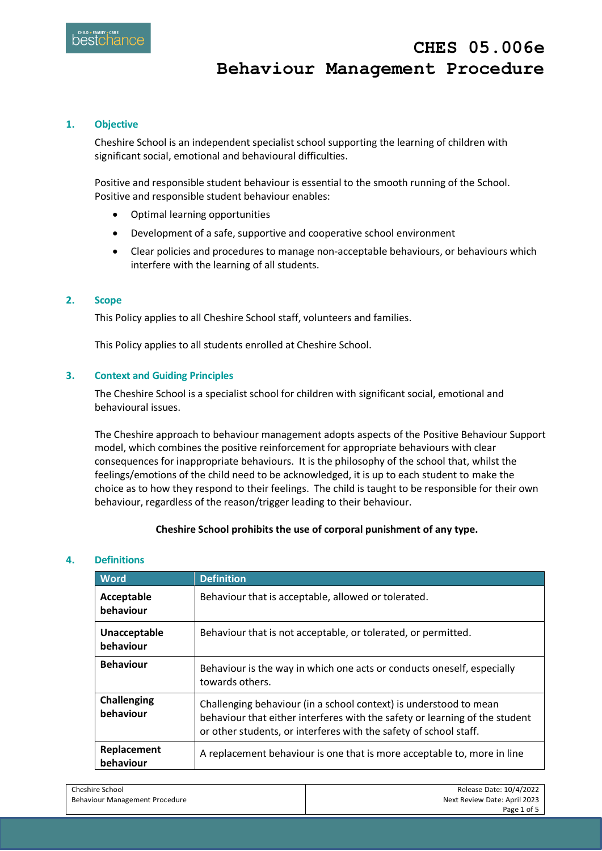## **1. Objective**

Cheshire School is an independent specialist school supporting the learning of children with significant social, emotional and behavioural difficulties.

Positive and responsible student behaviour is essential to the smooth running of the School. Positive and responsible student behaviour enables:

- Optimal learning opportunities
- Development of a safe, supportive and cooperative school environment
- Clear policies and procedures to manage non-acceptable behaviours, or behaviours which interfere with the learning of all students.

## **2. Scope**

This Policy applies to all Cheshire School staff, volunteers and families.

This Policy applies to all students enrolled at Cheshire School.

# **3. Context and Guiding Principles**

The Cheshire School is a specialist school for children with significant social, emotional and behavioural issues.

The Cheshire approach to behaviour management adopts aspects of the Positive Behaviour Support model, which combines the positive reinforcement for appropriate behaviours with clear consequences for inappropriate behaviours. It is the philosophy of the school that, whilst the feelings/emotions of the child need to be acknowledged, it is up to each student to make the choice as to how they respond to their feelings. The child is taught to be responsible for their own behaviour, regardless of the reason/trigger leading to their behaviour.

# **Cheshire School prohibits the use of corporal punishment of any type.**

## **4. Definitions**

| <b>Word</b>                     | <b>Definition</b>                                                                                                                                                                                                     |
|---------------------------------|-----------------------------------------------------------------------------------------------------------------------------------------------------------------------------------------------------------------------|
| Acceptable<br>behaviour         | Behaviour that is acceptable, allowed or tolerated.                                                                                                                                                                   |
| Unacceptable<br>behaviour       | Behaviour that is not acceptable, or tolerated, or permitted.                                                                                                                                                         |
| <b>Behaviour</b>                | Behaviour is the way in which one acts or conducts oneself, especially<br>towards others.                                                                                                                             |
| <b>Challenging</b><br>behaviour | Challenging behaviour (in a school context) is understood to mean<br>behaviour that either interferes with the safety or learning of the student<br>or other students, or interferes with the safety of school staff. |
| Replacement<br>behaviour        | A replacement behaviour is one that is more acceptable to, more in line                                                                                                                                               |

| Cheshire School                | Release Date: 10/4/2022      |
|--------------------------------|------------------------------|
| Behaviour Management Procedure | Next Review Date: April 2023 |
|                                | Page 1 of 5                  |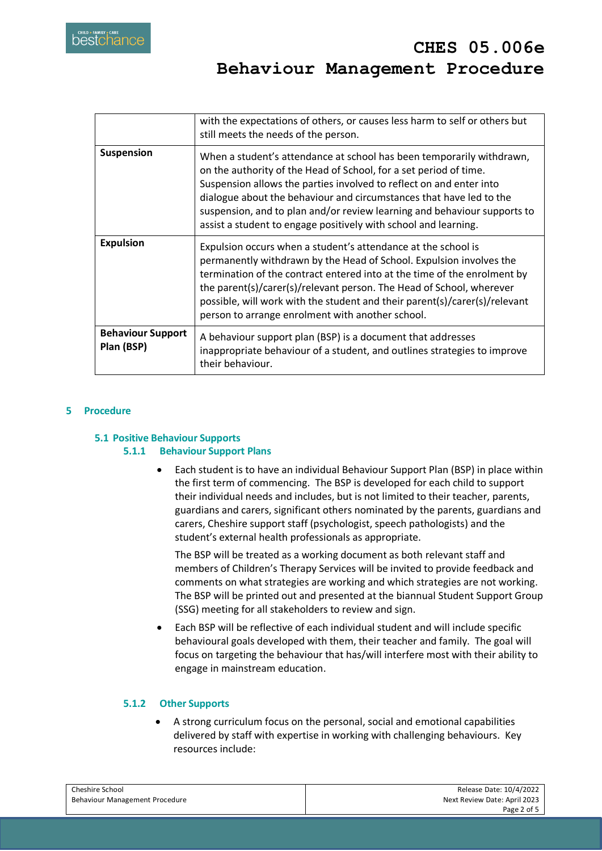|                                        | with the expectations of others, or causes less harm to self or others but<br>still meets the needs of the person.                                                                                                                                                                                                                                                                                                                      |
|----------------------------------------|-----------------------------------------------------------------------------------------------------------------------------------------------------------------------------------------------------------------------------------------------------------------------------------------------------------------------------------------------------------------------------------------------------------------------------------------|
| <b>Suspension</b>                      | When a student's attendance at school has been temporarily withdrawn,<br>on the authority of the Head of School, for a set period of time.<br>Suspension allows the parties involved to reflect on and enter into<br>dialogue about the behaviour and circumstances that have led to the<br>suspension, and to plan and/or review learning and behaviour supports to<br>assist a student to engage positively with school and learning. |
| <b>Expulsion</b>                       | Expulsion occurs when a student's attendance at the school is<br>permanently withdrawn by the Head of School. Expulsion involves the<br>termination of the contract entered into at the time of the enrolment by<br>the parent(s)/carer(s)/relevant person. The Head of School, wherever<br>possible, will work with the student and their parent(s)/carer(s)/relevant<br>person to arrange enrolment with another school.              |
| <b>Behaviour Support</b><br>Plan (BSP) | A behaviour support plan (BSP) is a document that addresses<br>inappropriate behaviour of a student, and outlines strategies to improve<br>their behaviour.                                                                                                                                                                                                                                                                             |

# **5 Procedure**

# **5.1 Positive Behaviour Supports**

## **5.1.1 Behaviour Support Plans**

 Each student is to have an individual Behaviour Support Plan (BSP) in place within the first term of commencing. The BSP is developed for each child to support their individual needs and includes, but is not limited to their teacher, parents, guardians and carers, significant others nominated by the parents, guardians and carers, Cheshire support staff (psychologist, speech pathologists) and the student's external health professionals as appropriate.

The BSP will be treated as a working document as both relevant staff and members of Children's Therapy Services will be invited to provide feedback and comments on what strategies are working and which strategies are not working. The BSP will be printed out and presented at the biannual Student Support Group (SSG) meeting for all stakeholders to review and sign.

 Each BSP will be reflective of each individual student and will include specific behavioural goals developed with them, their teacher and family. The goal will focus on targeting the behaviour that has/will interfere most with their ability to engage in mainstream education.

## **5.1.2 Other Supports**

 A strong curriculum focus on the personal, social and emotional capabilities delivered by staff with expertise in working with challenging behaviours. Key resources include:

| Cheshire School                | Release Date: 10/4/2022      |
|--------------------------------|------------------------------|
| Behaviour Management Procedure | Next Review Date: April 2023 |
|                                | Page 2 of 5                  |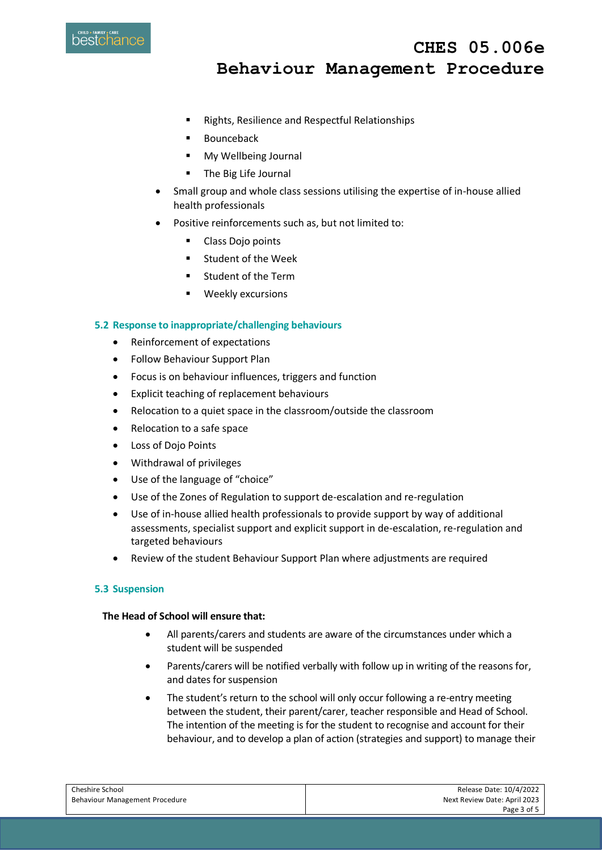

**Behaviour Management Procedure**

**CHES 05.006e** 

- **Rights, Resilience and Respectful Relationships**
- **Bounceback**
- My Wellbeing Journal
- **The Big Life Journal**
- Small group and whole class sessions utilising the expertise of in-house allied health professionals
- Positive reinforcements such as, but not limited to:
	- Class Doio points
	- **E** Student of the Week
	- **EXEC** Student of the Term
	- **•** Weekly excursions

### **5.2 Response to inappropriate/challenging behaviours**

- Reinforcement of expectations
- Follow Behaviour Support Plan
- Focus is on behaviour influences, triggers and function
- Explicit teaching of replacement behaviours
- Relocation to a quiet space in the classroom/outside the classroom
- Relocation to a safe space
- Loss of Dojo Points
- Withdrawal of privileges
- Use of the language of "choice"
- Use of the Zones of Regulation to support de-escalation and re-regulation
- Use of in-house allied health professionals to provide support by way of additional assessments, specialist support and explicit support in de-escalation, re-regulation and targeted behaviours
- Review of the student Behaviour Support Plan where adjustments are required

### **5.3 Suspension**

## **The Head of School will ensure that:**

- All parents/carers and students are aware of the circumstances under which a student will be suspended
- Parents/carers will be notified verbally with follow up in writing of the reasons for, and dates for suspension
- The student's return to the school will only occur following a re-entry meeting between the student, their parent/carer, teacher responsible and Head of School. The intention of the meeting is for the student to recognise and account for their behaviour, and to develop a plan of action (strategies and support) to manage their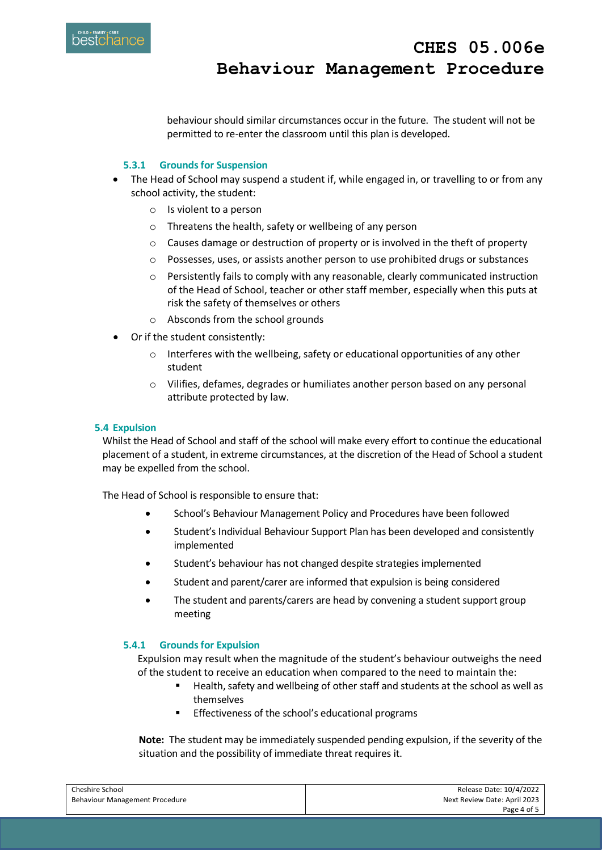

behaviour should similar circumstances occur in the future. The student will not be permitted to re-enter the classroom until this plan is developed.

# **5.3.1 Grounds for Suspension**

- The Head of School may suspend a student if, while engaged in, or travelling to or from any school activity, the student:
	- o Is violent to a person
	- o Threatens the health, safety or wellbeing of any person
	- $\circ$  Causes damage or destruction of property or is involved in the theft of property
	- o Possesses, uses, or assists another person to use prohibited drugs or substances
	- o Persistently fails to comply with any reasonable, clearly communicated instruction of the Head of School, teacher or other staff member, especially when this puts at risk the safety of themselves or others
	- o Absconds from the school grounds
- Or if the student consistently:
	- $\circ$  Interferes with the wellbeing, safety or educational opportunities of any other student
	- o Vilifies, defames, degrades or humiliates another person based on any personal attribute protected by law.

## **5.4 Expulsion**

Whilst the Head of School and staff of the school will make every effort to continue the educational placement of a student, in extreme circumstances, at the discretion of the Head of School a student may be expelled from the school.

The Head of School is responsible to ensure that:

- **•** School's Behaviour Management Policy and Procedures have been followed
- Student's Individual Behaviour Support Plan has been developed and consistently implemented
- Student's behaviour has not changed despite strategies implemented
- Student and parent/carer are informed that expulsion is being considered
- The student and parents/carers are head by convening a student support group meeting

## **5.4.1 Grounds for Expulsion**

Expulsion may result when the magnitude of the student's behaviour outweighs the need of the student to receive an education when compared to the need to maintain the:

- Health, safety and wellbeing of other staff and students at the school as well as themselves
- Effectiveness of the school's educational programs

**Note:** The student may be immediately suspended pending expulsion, if the severity of the situation and the possibility of immediate threat requires it.

| Cheshire School                | Release Date: 10/4/2022      |
|--------------------------------|------------------------------|
| Behaviour Management Procedure | Next Review Date: April 2023 |
|                                | Page 4 of 5                  |